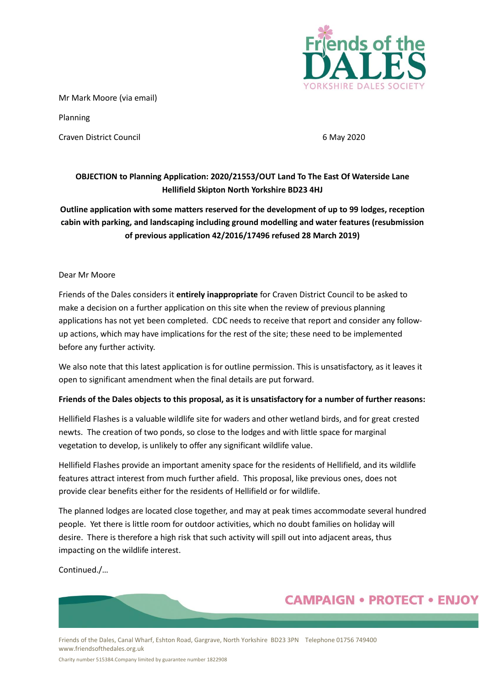

Mr Mark Moore (via email)

Planning

Craven District Council 6 May 2020

## **OBJECTION to Planning Application: 2020/21553/OUT Land To The East Of Waterside Lane Hellifield Skipton North Yorkshire BD23 4HJ**

## **Outline application with some matters reserved for the development of up to 99 lodges, reception cabin with parking, and landscaping including ground modelling and water features (resubmission of previous application 42/2016/17496 refused 28 March 2019)**

#### Dear Mr Moore

Friends of the Dales considers it **entirely inappropriate** for Craven District Council to be asked to make a decision on a further application on this site when the review of previous planning applications has not yet been completed. CDC needs to receive that report and consider any followup actions, which may have implications for the rest of the site; these need to be implemented before any further activity.

We also note that this latest application is for outline permission. This is unsatisfactory, as it leaves it open to significant amendment when the final details are put forward.

### **Friends of the Dales objects to this proposal, as it is unsatisfactory for a number of further reasons:**

Hellifield Flashes is a valuable wildlife site for waders and other wetland birds, and for great crested newts. The creation of two ponds, so close to the lodges and with little space for marginal vegetation to develop, is unlikely to offer any significant wildlife value.

Hellifield Flashes provide an important amenity space for the residents of Hellifield, and its wildlife features attract interest from much further afield. This proposal, like previous ones, does not provide clear benefits either for the residents of Hellifield or for wildlife.

The planned lodges are located close together, and may at peak times accommodate several hundred people. Yet there is little room for outdoor activities, which no doubt families on holiday will desire. There is therefore a high risk that such activity will spill out into adjacent areas, thus impacting on the wildlife interest.

Continued./…

# **CAMPAIGN • PROTECT • ENJOY**

Friends of the Dales, Canal Wharf, Eshton Road, Gargrave, North Yorkshire BD23 3PN Telephone 01756 749400 www.friendsofthedales.org.uk

Charity number 515384.Company limited by guarantee number 1822908